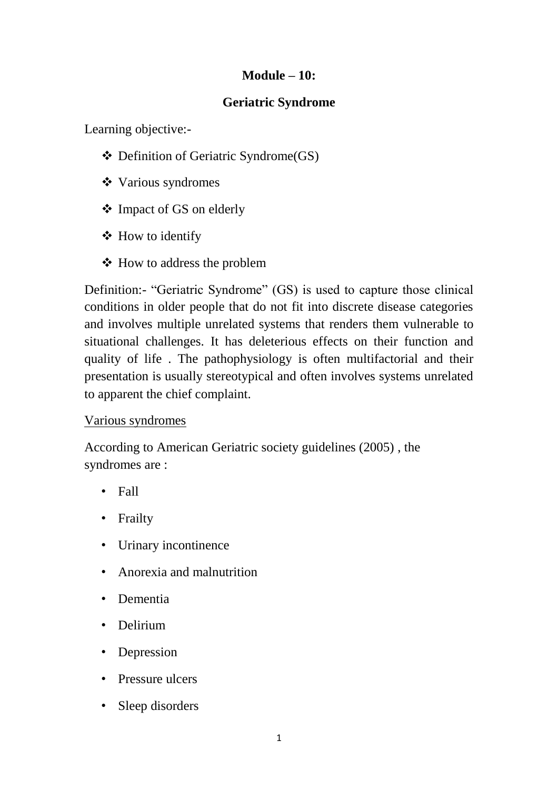#### **Module – 10:**

#### **Geriatric Syndrome**

Learning objective:-

- ❖ Definition of Geriatric Syndrome(GS)
- ❖ Various syndromes
- ❖ Impact of GS on elderly
- ❖ How to identify
- ❖ How to address the problem

Definition:- "Geriatric Syndrome" (GS) is used to capture those clinical conditions in older people that do not fit into discrete disease categories and involves multiple unrelated systems that renders them vulnerable to situational challenges. It has deleterious effects on their function and quality of life . The pathophysiology is often multifactorial and their presentation is usually stereotypical and often involves systems unrelated to apparent the chief complaint.

#### Various syndromes

According to American Geriatric society guidelines (2005) , the syndromes are :

- Fall
- Frailty
- Urinary incontinence
- Anorexia and malnutrition
- Dementia
- Delirium
- Depression
- Pressure ulcers
- Sleep disorders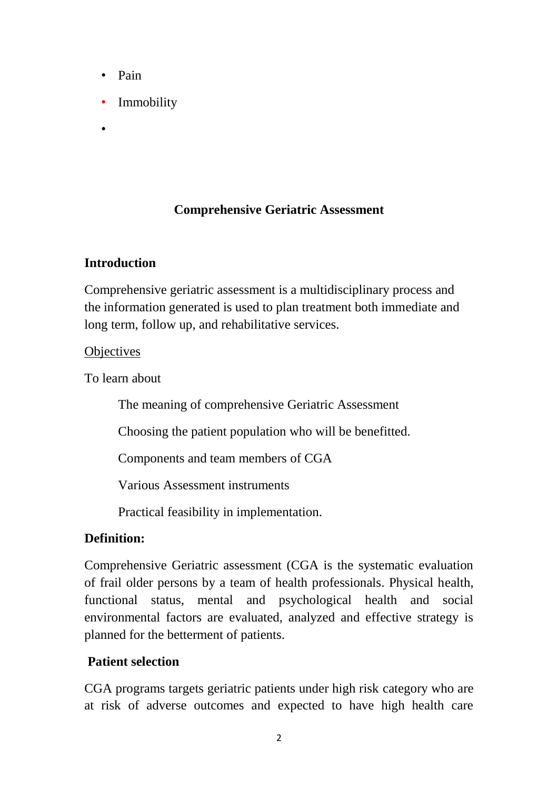- Pain
- **Immobility**
- •

### **Comprehensive Geriatric Assessment**

#### **Introduction**

Comprehensive geriatric assessment is a multidisciplinary process and the information generated is used to plan treatment both immediate and long term, follow up, and rehabilitative services.

#### **Objectives**

To learn about

The meaning of comprehensive Geriatric Assessment

Choosing the patient population who will be benefitted.

Components and team members of CGA

Various Assessment instruments

Practical feasibility in implementation.

### **Definition:**

Comprehensive Geriatric assessment (CGA is the systematic evaluation of frail older persons by a team of health professionals. Physical health, functional status, mental and psychological health and social environmental factors are evaluated, analyzed and effective strategy is planned for the betterment of patients.

### **Patient selection**

CGA programs targets geriatric patients under high risk category who are at risk of adverse outcomes and expected to have high health care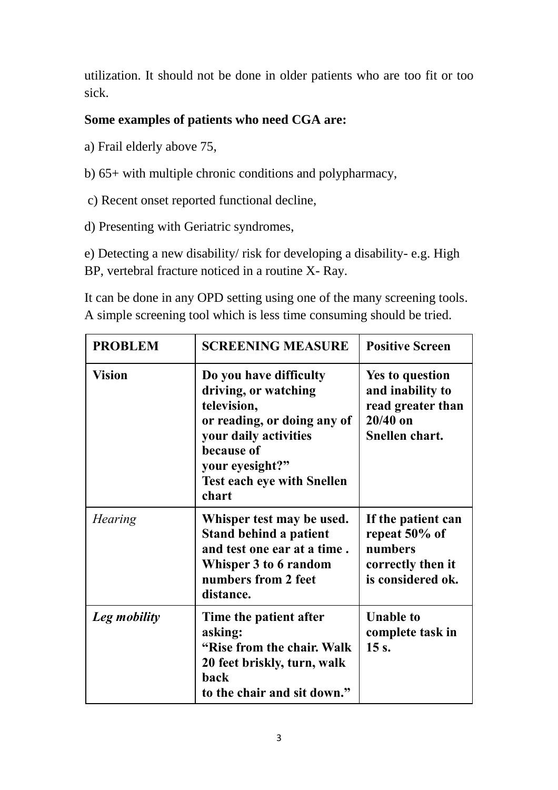utilization. It should not be done in older patients who are too fit or too sick.

### **Some examples of patients who need CGA are:**

- a) Frail elderly above 75,
- b) 65+ with multiple chronic conditions and polypharmacy,
- c) Recent onset reported functional decline,
- d) Presenting with Geriatric syndromes,

e) Detecting a new disability/ risk for developing a disability- e.g. High BP, vertebral fracture noticed in a routine X- Ray.

It can be done in any OPD setting using one of the many screening tools. A simple screening tool which is less time consuming should be tried.

| <b>PROBLEM</b> | <b>SCREENING MEASURE</b>                                                                                                                                                                             | <b>Positive Screen</b>                                                                   |
|----------------|------------------------------------------------------------------------------------------------------------------------------------------------------------------------------------------------------|------------------------------------------------------------------------------------------|
| <b>Vision</b>  | Do you have difficulty<br>driving, or watching<br>television,<br>or reading, or doing any of<br>your daily activities<br>because of<br>your eyesight?"<br><b>Test each eye with Snellen</b><br>chart | Yes to question<br>and inability to<br>read greater than<br>$20/40$ on<br>Snellen chart. |
| <b>Hearing</b> | Whisper test may be used.<br><b>Stand behind a patient</b><br>and test one ear at a time.<br>Whisper 3 to 6 random<br>numbers from 2 feet<br>distance.                                               | If the patient can<br>repeat 50% of<br>numbers<br>correctly then it<br>is considered ok. |
| Leg mobility   | Time the patient after<br>asking:<br>"Rise from the chair. Walk<br>20 feet briskly, turn, walk<br>back<br>to the chair and sit down."                                                                | <b>Unable to</b><br>complete task in<br>$15s$ .                                          |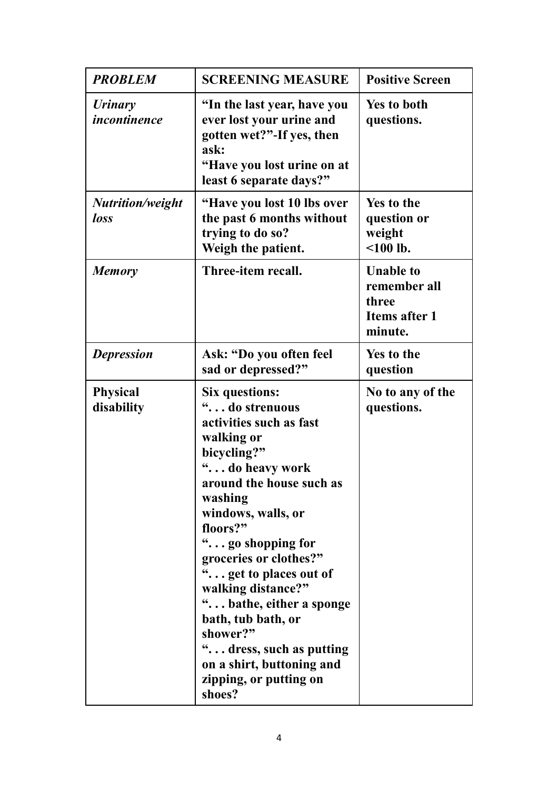| <b>PROBLEM</b>                        | <b>SCREENING MEASURE</b>                                                                                                                                                                                                                                                                                                                                                                                                                              | <b>Positive Screen</b>                                                       |
|---------------------------------------|-------------------------------------------------------------------------------------------------------------------------------------------------------------------------------------------------------------------------------------------------------------------------------------------------------------------------------------------------------------------------------------------------------------------------------------------------------|------------------------------------------------------------------------------|
| <b>Urinary</b><br><i>incontinence</i> | "In the last year, have you<br>ever lost your urine and<br>gotten wet?"-If yes, then<br>ask:<br>"Have you lost urine on at<br>least 6 separate days?"                                                                                                                                                                                                                                                                                                 | <b>Yes to both</b><br>questions.                                             |
| Nutrition/weight<br>loss              | "Have you lost 10 lbs over<br>the past 6 months without<br>trying to do so?<br>Weigh the patient.                                                                                                                                                                                                                                                                                                                                                     | <b>Yes to the</b><br>question or<br>weight<br>$100$ lb.                      |
| <b>Memory</b>                         | Three-item recall.                                                                                                                                                                                                                                                                                                                                                                                                                                    | <b>Unable to</b><br>remember all<br>three<br><b>Items after 1</b><br>minute. |
| <b>Depression</b>                     | Ask: "Do you often feel<br>sad or depressed?"                                                                                                                                                                                                                                                                                                                                                                                                         | Yes to the<br>question                                                       |
| <b>Physical</b><br>disability         | <b>Six questions:</b><br>" do strenuous<br>activities such as fast<br>walking or<br>bicycling?"<br>" do heavy work<br>around the house such as<br>washing<br>windows, walls, or<br>floors?"<br>" go shopping for<br>groceries or clothes?"<br>" get to places out of<br>walking distance?"<br>" bathe, either a sponge<br>bath, tub bath, or<br>shower?"<br>" dress, such as putting<br>on a shirt, buttoning and<br>zipping, or putting on<br>shoes? | No to any of the<br>questions.                                               |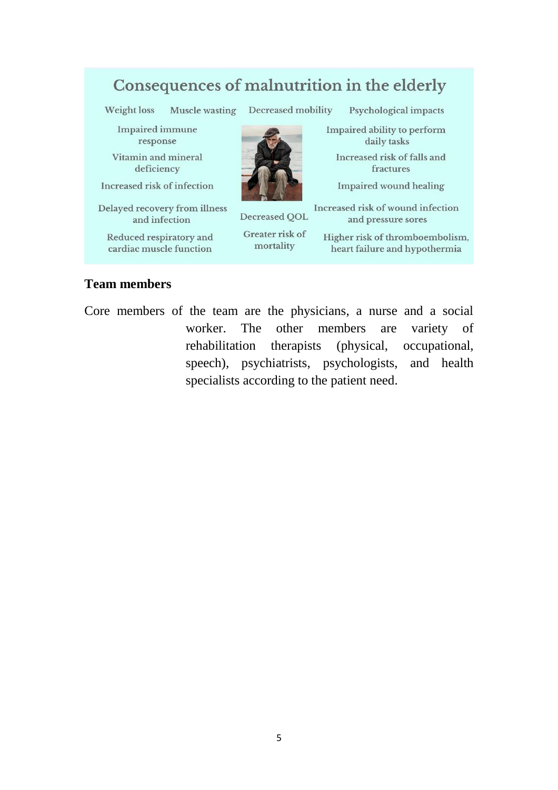# Consequences of malnutrition in the elderly

Weight loss

Psychological impacts

**Impaired** immune response

Vitamin and mineral deficiency

Increased risk of infection

Delayed recovery from illness and infection

Reduced respiratory and cardiac muscle function

Muscle wasting Decreased mobility

Impaired ability to perform daily tasks

Increased risk of falls and fractures

**Impaired wound healing** 

Decreased QOL

Greater risk of mortality

Increased risk of wound infection and pressure sores

Higher risk of thromboembolism, heart failure and hypothermia

#### **Team members**

Core members of the team are the physicians, a nurse and a social worker. The other members are variety of rehabilitation therapists (physical, occupational, speech), psychiatrists, psychologists, and health specialists according to the patient need.

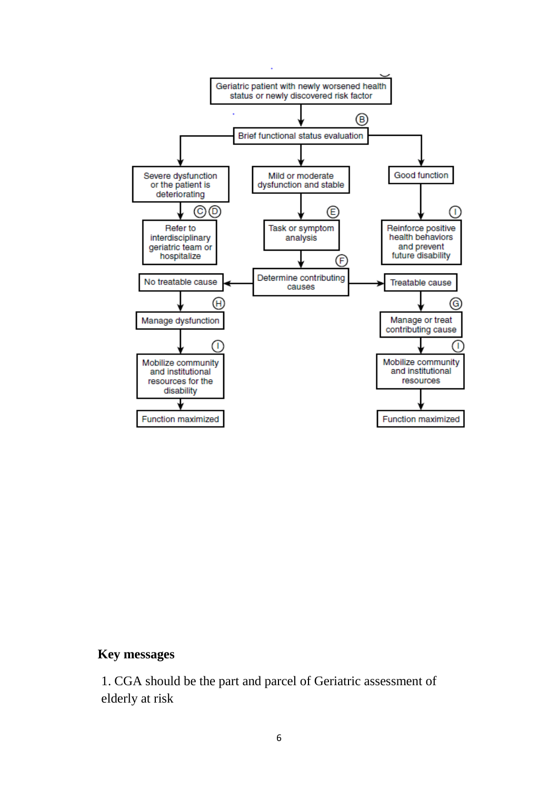

#### **Key messages**

1. CGA should be the part and parcel of Geriatric assessment of elderly at risk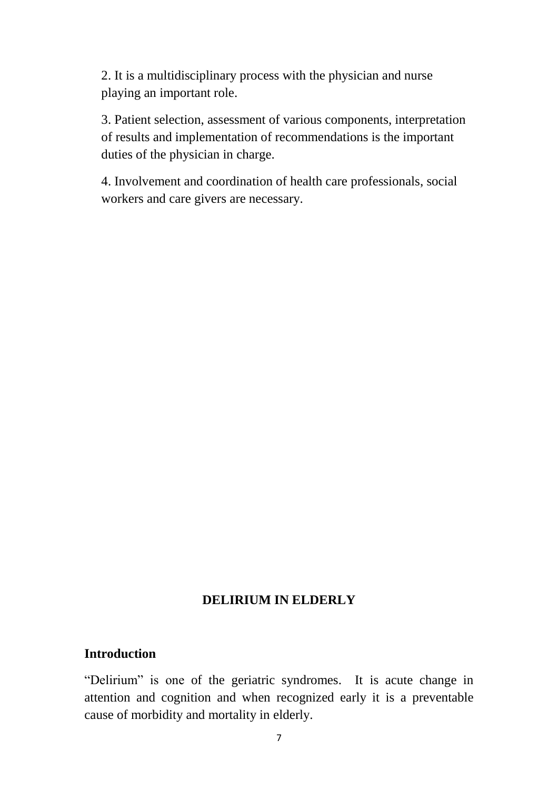2. It is a multidisciplinary process with the physician and nurse playing an important role.

3. Patient selection, assessment of various components, interpretation of results and implementation of recommendations is the important duties of the physician in charge.

4. Involvement and coordination of health care professionals, social workers and care givers are necessary.

#### **DELIRIUM IN ELDERLY**

#### **Introduction**

"Delirium" is one of the geriatric syndromes. It is acute change in attention and cognition and when recognized early it is a preventable cause of morbidity and mortality in elderly.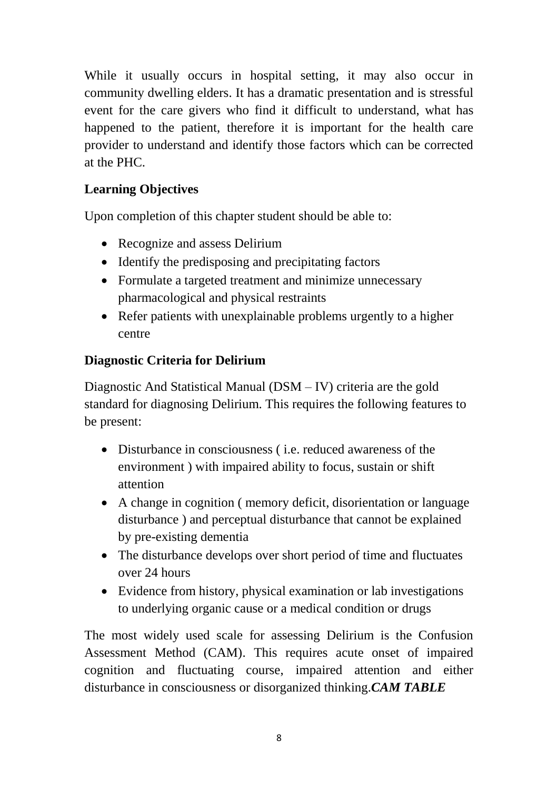While it usually occurs in hospital setting, it may also occur in community dwelling elders. It has a dramatic presentation and is stressful event for the care givers who find it difficult to understand, what has happened to the patient, therefore it is important for the health care provider to understand and identify those factors which can be corrected at the PHC.

### **Learning Objectives**

Upon completion of this chapter student should be able to:

- Recognize and assess Delirium
- Identify the predisposing and precipitating factors
- Formulate a targeted treatment and minimize unnecessary pharmacological and physical restraints
- Refer patients with unexplainable problems urgently to a higher centre

### **Diagnostic Criteria for Delirium**

Diagnostic And Statistical Manual (DSM – IV) criteria are the gold standard for diagnosing Delirium. This requires the following features to be present:

- Disturbance in consciousness ( i.e. reduced awareness of the environment ) with impaired ability to focus, sustain or shift attention
- A change in cognition ( memory deficit, disorientation or language disturbance ) and perceptual disturbance that cannot be explained by pre-existing dementia
- The disturbance develops over short period of time and fluctuates over 24 hours
- Evidence from history, physical examination or lab investigations to underlying organic cause or a medical condition or drugs

The most widely used scale for assessing Delirium is the Confusion Assessment Method (CAM). This requires acute onset of impaired cognition and fluctuating course, impaired attention and either disturbance in consciousness or disorganized thinking.*CAM TABLE*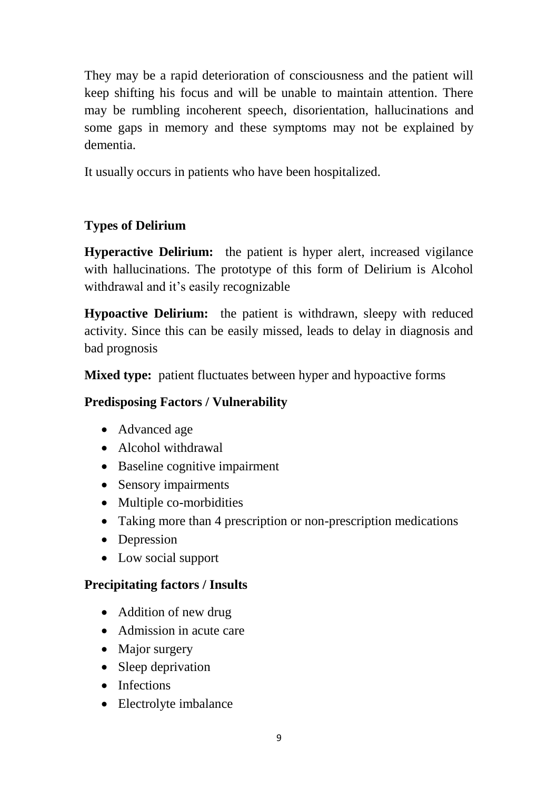They may be a rapid deterioration of consciousness and the patient will keep shifting his focus and will be unable to maintain attention. There may be rumbling incoherent speech, disorientation, hallucinations and some gaps in memory and these symptoms may not be explained by dementia.

It usually occurs in patients who have been hospitalized.

## **Types of Delirium**

**Hyperactive Delirium:** the patient is hyper alert, increased vigilance with hallucinations. The prototype of this form of Delirium is Alcohol withdrawal and it's easily recognizable

**Hypoactive Delirium:** the patient is withdrawn, sleepy with reduced activity. Since this can be easily missed, leads to delay in diagnosis and bad prognosis

**Mixed type:** patient fluctuates between hyper and hypoactive forms

### **Predisposing Factors / Vulnerability**

- Advanced age
- Alcohol withdrawal
- Baseline cognitive impairment
- Sensory impairments
- Multiple co-morbidities
- Taking more than 4 prescription or non-prescription medications
- Depression
- Low social support

### **Precipitating factors / Insults**

- Addition of new drug
- Admission in acute care
- Major surgery
- Sleep deprivation
- Infections
- Electrolyte imbalance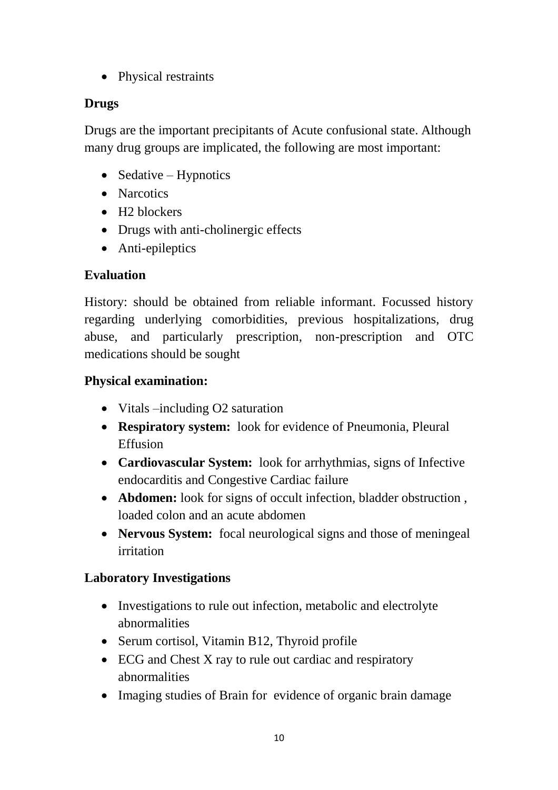• Physical restraints

### **Drugs**

Drugs are the important precipitants of Acute confusional state. Although many drug groups are implicated, the following are most important:

- Sedative Hypnotics
- Narcotics
- H<sub>2</sub> blockers
- Drugs with anti-cholinergic effects
- Anti-epileptics

## **Evaluation**

History: should be obtained from reliable informant. Focussed history regarding underlying comorbidities, previous hospitalizations, drug abuse, and particularly prescription, non-prescription and OTC medications should be sought

## **Physical examination:**

- Vitals –including O2 saturation
- **Respiratory system:** look for evidence of Pneumonia, Pleural Effusion
- **Cardiovascular System:** look for arrhythmias, signs of Infective endocarditis and Congestive Cardiac failure
- **Abdomen:** look for signs of occult infection, bladder obstruction , loaded colon and an acute abdomen
- **Nervous System:** focal neurological signs and those of meningeal irritation

### **Laboratory Investigations**

- Investigations to rule out infection, metabolic and electrolyte abnormalities
- Serum cortisol, Vitamin B12, Thyroid profile
- ECG and Chest X ray to rule out cardiac and respiratory abnormalities
- Imaging studies of Brain for evidence of organic brain damage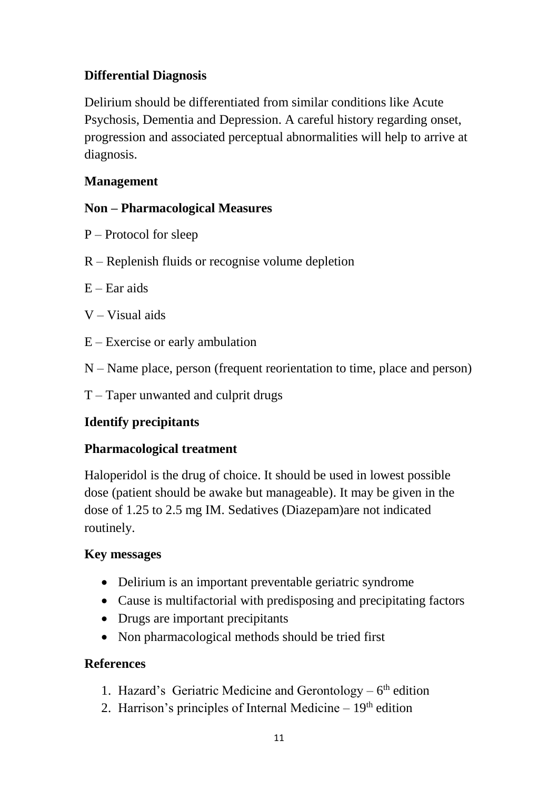### **Differential Diagnosis**

Delirium should be differentiated from similar conditions like Acute Psychosis, Dementia and Depression. A careful history regarding onset, progression and associated perceptual abnormalities will help to arrive at diagnosis.

### **Management**

### **Non – Pharmacological Measures**

- P Protocol for sleep
- R Replenish fluids or recognise volume depletion
- $E Ear$  aids
- V Visual aids
- E Exercise or early ambulation
- N Name place, person (frequent reorientation to time, place and person)
- T Taper unwanted and culprit drugs

### **Identify precipitants**

### **Pharmacological treatment**

Haloperidol is the drug of choice. It should be used in lowest possible dose (patient should be awake but manageable). It may be given in the dose of 1.25 to 2.5 mg IM. Sedatives (Diazepam)are not indicated routinely.

### **Key messages**

- Delirium is an important preventable geriatric syndrome
- Cause is multifactorial with predisposing and precipitating factors
- Drugs are important precipitants
- Non pharmacological methods should be tried first

### **References**

- 1. Hazard's Geriatric Medicine and Gerontology  $-6<sup>th</sup>$  edition
- 2. Harrison's principles of Internal Medicine  $-19<sup>th</sup>$  edition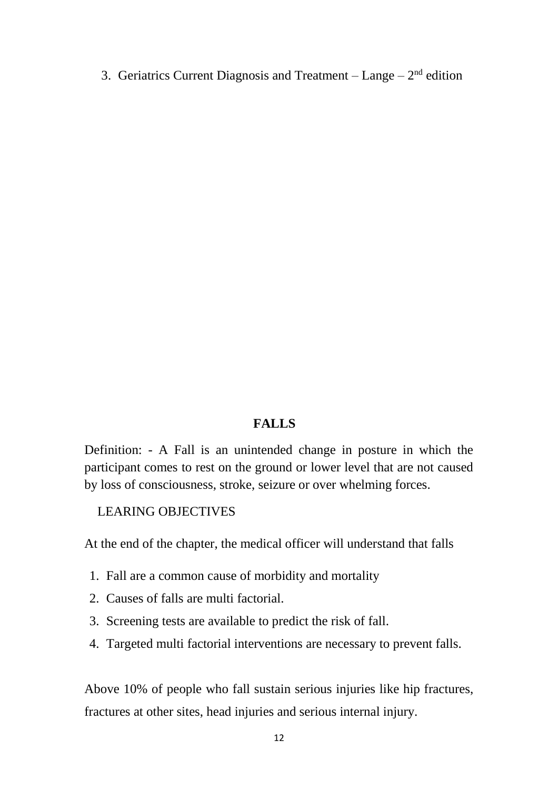3. Geriatrics Current Diagnosis and Treatment  $-$  Lange  $-2<sup>nd</sup>$  edition

#### **FALLS**

Definition: - A Fall is an unintended change in posture in which the participant comes to rest on the ground or lower level that are not caused by loss of consciousness, stroke, seizure or over whelming forces.

#### LEARING OBJECTIVES

At the end of the chapter, the medical officer will understand that falls

- 1. Fall are a common cause of morbidity and mortality
- 2. Causes of falls are multi factorial.
- 3. Screening tests are available to predict the risk of fall.
- 4. Targeted multi factorial interventions are necessary to prevent falls.

Above 10% of people who fall sustain serious injuries like hip fractures, fractures at other sites, head injuries and serious internal injury.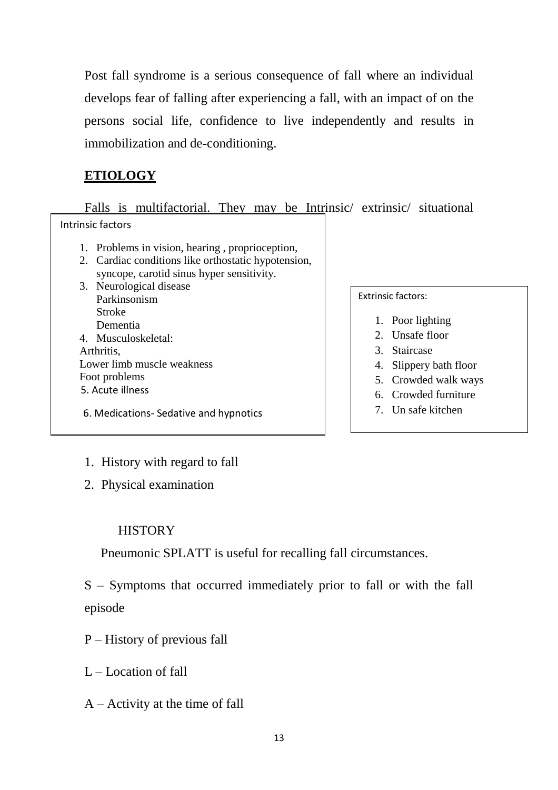Post fall syndrome is a serious consequence of fall where an individual develops fear of falling after experiencing a fall, with an impact of on the persons social life, confidence to live independently and results in immobilization and de-conditioning.

### **ETIOLOGY**

Falls is multifactorial. They may be Intrinsic/ extrinsic/ situational Intrinsic factors

- 1. Problems in vision, hearing , proprioception,
- 2. Cardiac conditions like orthostatic hypotension, syncope, carotid sinus hyper sensitivity.
- Assessment of Fall Street, and the Fall Street of Fall Street of Fall Street of Fall Street of Fall Street of Ta 3. Neurological disease Parkinsonism Stroke Dementia 4. Musculoskeletal: Arthritis, Lower limb muscle weakness Foot problems 5. Acute illness
- 6. Medications- Sedative and hypnotics

Extrinsic factors:

- 1. Poor lighting
- 2. Unsafe floor
- 3. Staircase
- 4. Slippery bath floor
- 5. Crowded walk ways
- 6. Crowded furniture
- 7. Un safe kitchen

- 1. History with regard to fall
- 2. Physical examination

Assessment includes

### **HISTORY**

Pneumonic SPLATT is useful for recalling fall circumstances.

S – Symptoms that occurred immediately prior to fall or with the fall episode

- P History of previous fall
- $L -$ Location of fall
- $A -$ Activity at the time of fall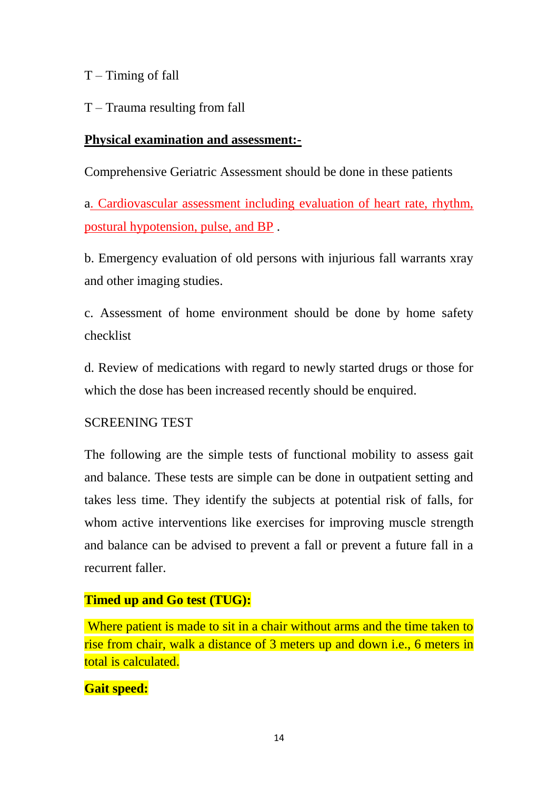$T -$ Timing of fall

T – Trauma resulting from fall

#### **Physical examination and assessment:-**

Comprehensive Geriatric Assessment should be done in these patients

a. Cardiovascular assessment including evaluation of heart rate, rhythm, postural hypotension, pulse, and BP .

b. Emergency evaluation of old persons with injurious fall warrants xray and other imaging studies.

c. Assessment of home environment should be done by home safety checklist

d. Review of medications with regard to newly started drugs or those for which the dose has been increased recently should be enquired.

### SCREENING TEST

The following are the simple tests of functional mobility to assess gait and balance. These tests are simple can be done in outpatient setting and takes less time. They identify the subjects at potential risk of falls, for whom active interventions like exercises for improving muscle strength and balance can be advised to prevent a fall or prevent a future fall in a recurrent faller.

### **Timed up and Go test (TUG):**

Where patient is made to sit in a chair without arms and the time taken to rise from chair, walk a distance of 3 meters up and down i.e., 6 meters in total is calculated.

#### **Gait speed:**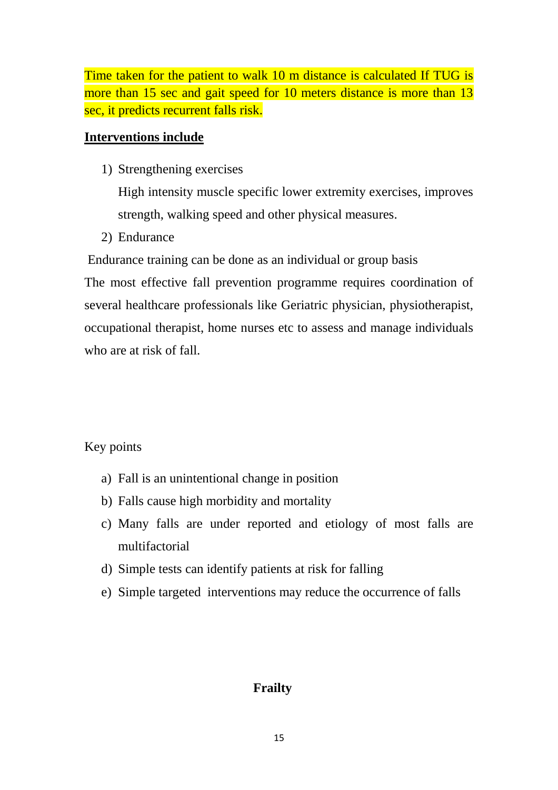Time taken for the patient to walk 10 m distance is calculated If TUG is more than 15 sec and gait speed for 10 meters distance is more than 13 sec, it predicts recurrent falls risk.

#### **Interventions include**

1) Strengthening exercises

High intensity muscle specific lower extremity exercises, improves strength, walking speed and other physical measures.

2) Endurance

Endurance training can be done as an individual or group basis

The most effective fall prevention programme requires coordination of several healthcare professionals like Geriatric physician, physiotherapist, occupational therapist, home nurses etc to assess and manage individuals who are at risk of fall.

#### Key points

- a) Fall is an unintentional change in position
- b) Falls cause high morbidity and mortality
- c) Many falls are under reported and etiology of most falls are multifactorial
- d) Simple tests can identify patients at risk for falling
- e) Simple targeted interventions may reduce the occurrence of falls

### **Frailty**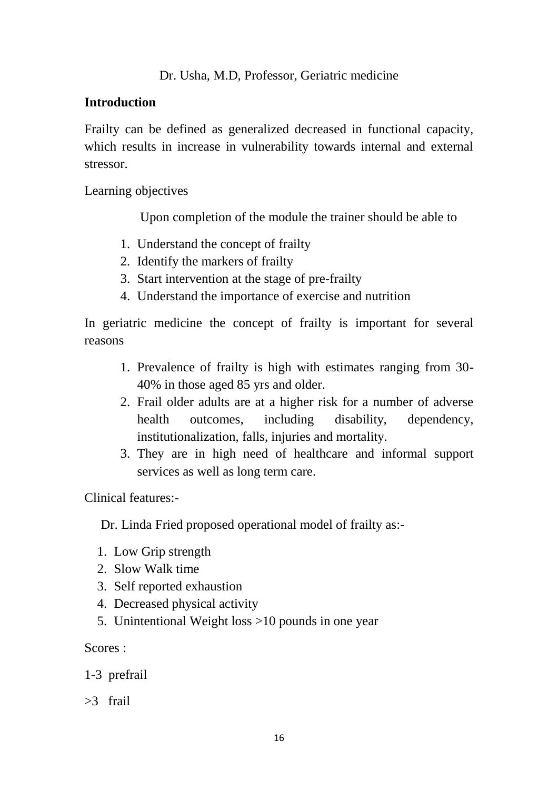### **Introduction**

Frailty can be defined as generalized decreased in functional capacity, which results in increase in vulnerability towards internal and external stressor.

Learning objectives

Upon completion of the module the trainer should be able to

- 1. Understand the concept of frailty
- 2. Identify the markers of frailty
- 3. Start intervention at the stage of pre-frailty
- 4. Understand the importance of exercise and nutrition

In geriatric medicine the concept of frailty is important for several reasons

- 1. Prevalence of frailty is high with estimates ranging from 30- 40% in those aged 85 yrs and older.
- 2. Frail older adults are at a higher risk for a number of adverse health outcomes, including disability, dependency, institutionalization, falls, injuries and mortality.
- 3. They are in high need of healthcare and informal support services as well as long term care.

Clinical features:-

Dr. Linda Fried proposed operational model of frailty as:-

- 1. Low Grip strength
- 2. Slow Walk time
- 3. Self reported exhaustion
- 4. Decreased physical activity
- 5. Unintentional Weight loss >10 pounds in one year

Scores :

1-3 prefrail

>3 frail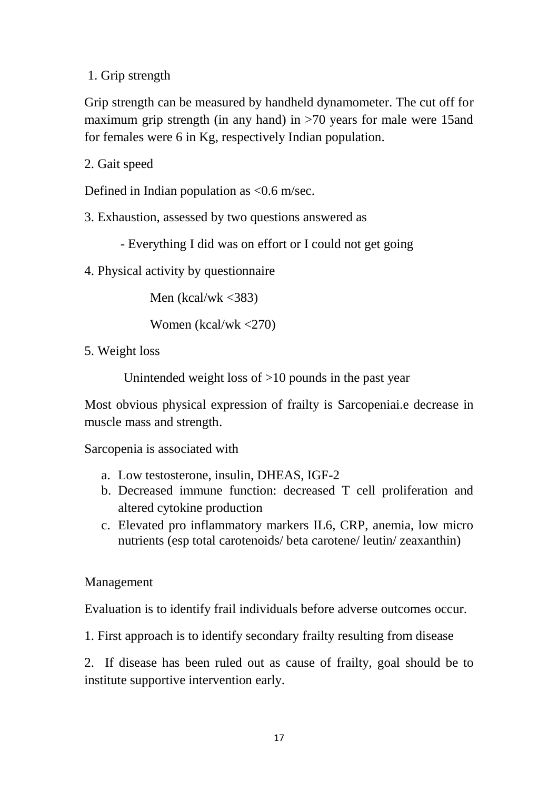1. Grip strength

Grip strength can be measured by handheld dynamometer. The cut off for maximum grip strength (in any hand) in >70 years for male were 15and for females were 6 in Kg, respectively Indian population.

2. Gait speed

Defined in Indian population as <0.6 m/sec.

3. Exhaustion, assessed by two questions answered as

- Everything I did was on effort or I could not get going

4. Physical activity by questionnaire

Men (kcal/wk  $\langle 383 \rangle$ )

Women (kcal/wk <270)

5. Weight loss

Unintended weight loss of  $>10$  pounds in the past year

Most obvious physical expression of frailty is Sarcopeniai.e decrease in muscle mass and strength.

Sarcopenia is associated with

- a. Low testosterone, insulin, DHEAS, IGF-2
- b. Decreased immune function: decreased T cell proliferation and altered cytokine production
- c. Elevated pro inflammatory markers IL6, CRP, anemia, low micro nutrients (esp total carotenoids/ beta carotene/ leutin/ zeaxanthin)

Management

Evaluation is to identify frail individuals before adverse outcomes occur.

1. First approach is to identify secondary frailty resulting from disease

2. If disease has been ruled out as cause of frailty, goal should be to institute supportive intervention early.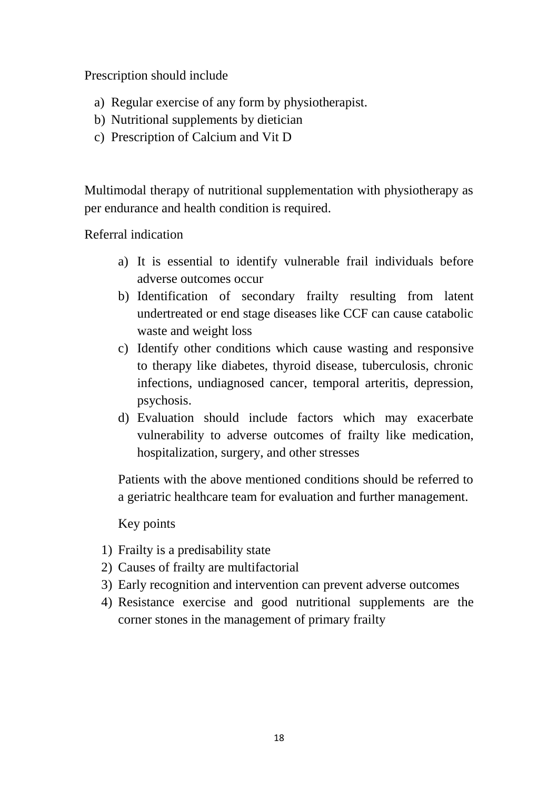Prescription should include

- a) Regular exercise of any form by physiotherapist.
- b) Nutritional supplements by dietician
- c) Prescription of Calcium and Vit D

Multimodal therapy of nutritional supplementation with physiotherapy as per endurance and health condition is required.

Referral indication

- a) It is essential to identify vulnerable frail individuals before adverse outcomes occur
- b) Identification of secondary frailty resulting from latent undertreated or end stage diseases like CCF can cause catabolic waste and weight loss
- c) Identify other conditions which cause wasting and responsive to therapy like diabetes, thyroid disease, tuberculosis, chronic infections, undiagnosed cancer, temporal arteritis, depression, psychosis.
- d) Evaluation should include factors which may exacerbate vulnerability to adverse outcomes of frailty like medication, hospitalization, surgery, and other stresses

Patients with the above mentioned conditions should be referred to a geriatric healthcare team for evaluation and further management.

Key points

- 1) Frailty is a predisability state
- 2) Causes of frailty are multifactorial
- 3) Early recognition and intervention can prevent adverse outcomes
- 4) Resistance exercise and good nutritional supplements are the corner stones in the management of primary frailty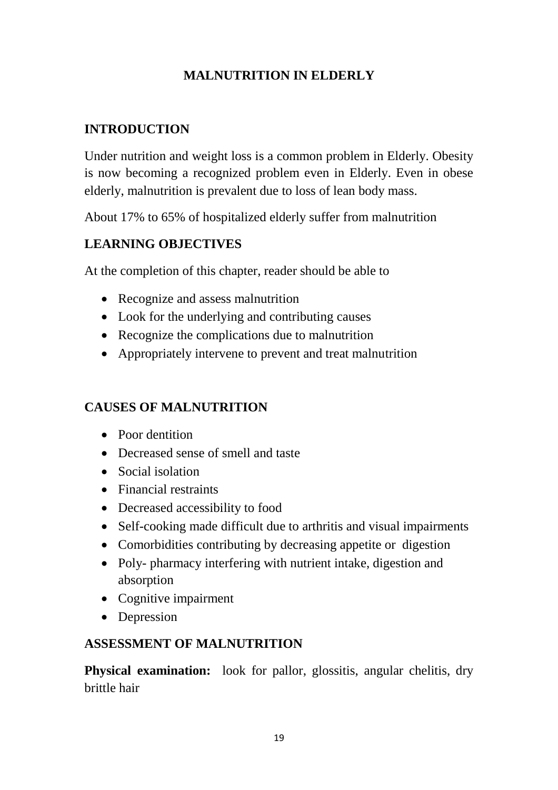### **MALNUTRITION IN ELDERLY**

### **INTRODUCTION**

Under nutrition and weight loss is a common problem in Elderly. Obesity is now becoming a recognized problem even in Elderly. Even in obese elderly, malnutrition is prevalent due to loss of lean body mass.

About 17% to 65% of hospitalized elderly suffer from malnutrition

## **LEARNING OBJECTIVES**

At the completion of this chapter, reader should be able to

- Recognize and assess malnutrition
- Look for the underlying and contributing causes
- Recognize the complications due to malnutrition
- Appropriately intervene to prevent and treat malnutrition

### **CAUSES OF MALNUTRITION**

- Poor dentition
- Decreased sense of smell and taste
- Social isolation
- Financial restraints
- Decreased accessibility to food
- Self-cooking made difficult due to arthritis and visual impairments
- Comorbidities contributing by decreasing appetite or digestion
- Poly- pharmacy interfering with nutrient intake, digestion and absorption
- Cognitive impairment
- Depression

### **ASSESSMENT OF MALNUTRITION**

**Physical examination:** look for pallor, glossitis, angular chelitis, dry brittle hair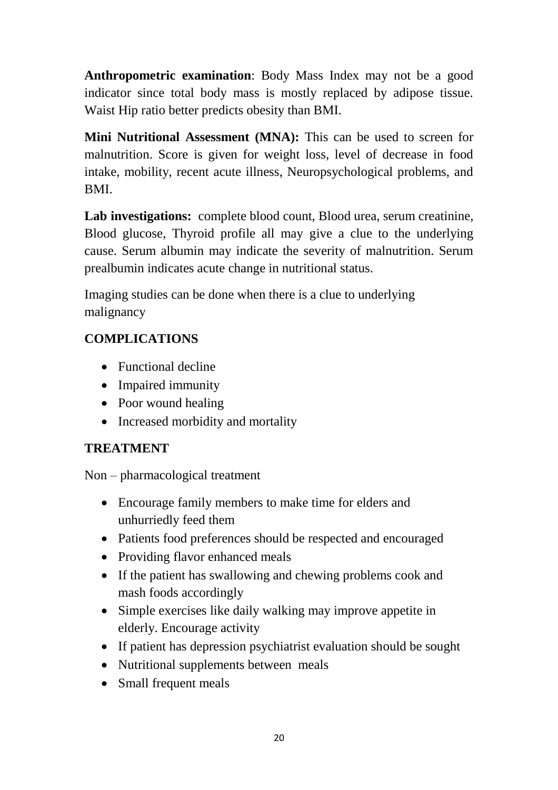**Anthropometric examination**: Body Mass Index may not be a good indicator since total body mass is mostly replaced by adipose tissue. Waist Hip ratio better predicts obesity than BMI.

**Mini Nutritional Assessment (MNA):** This can be used to screen for malnutrition. Score is given for weight loss, level of decrease in food intake, mobility, recent acute illness, Neuropsychological problems, and BMI.

**Lab investigations:** complete blood count, Blood urea, serum creatinine, Blood glucose, Thyroid profile all may give a clue to the underlying cause. Serum albumin may indicate the severity of malnutrition. Serum prealbumin indicates acute change in nutritional status.

Imaging studies can be done when there is a clue to underlying malignancy

## **COMPLICATIONS**

- Functional decline
- Impaired immunity
- Poor wound healing
- Increased morbidity and mortality

## **TREATMENT**

Non – pharmacological treatment

- Encourage family members to make time for elders and unhurriedly feed them
- Patients food preferences should be respected and encouraged
- Providing flavor enhanced meals
- If the patient has swallowing and chewing problems cook and mash foods accordingly
- Simple exercises like daily walking may improve appetite in elderly. Encourage activity
- If patient has depression psychiatrist evaluation should be sought
- Nutritional supplements between meals
- Small frequent meals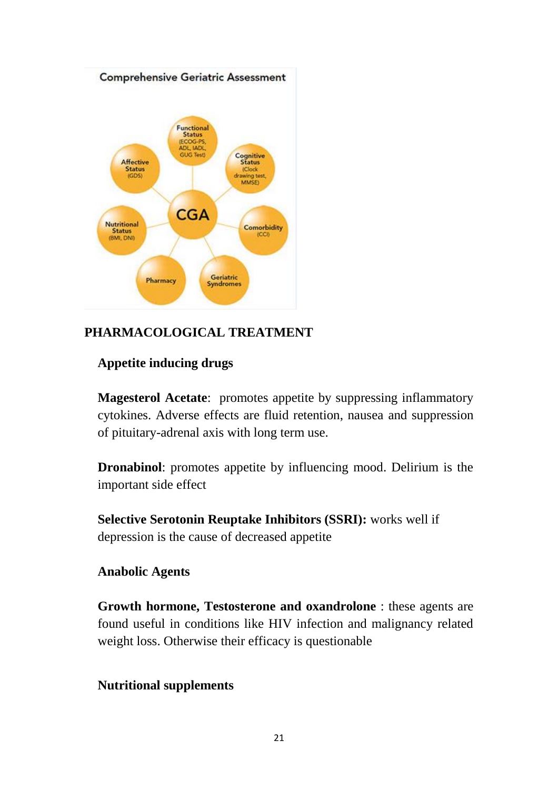

### **PHARMACOLOGICAL TREATMENT**

#### **Appetite inducing drugs**

**Magesterol Acetate**: promotes appetite by suppressing inflammatory cytokines. Adverse effects are fluid retention, nausea and suppression of pituitary-adrenal axis with long term use.

**Dronabinol**: promotes appetite by influencing mood. Delirium is the important side effect

**Selective Serotonin Reuptake Inhibitors (SSRI):** works well if depression is the cause of decreased appetite

#### **Anabolic Agents**

**Growth hormone, Testosterone and oxandrolone** : these agents are found useful in conditions like HIV infection and malignancy related weight loss. Otherwise their efficacy is questionable

#### **Nutritional supplements**